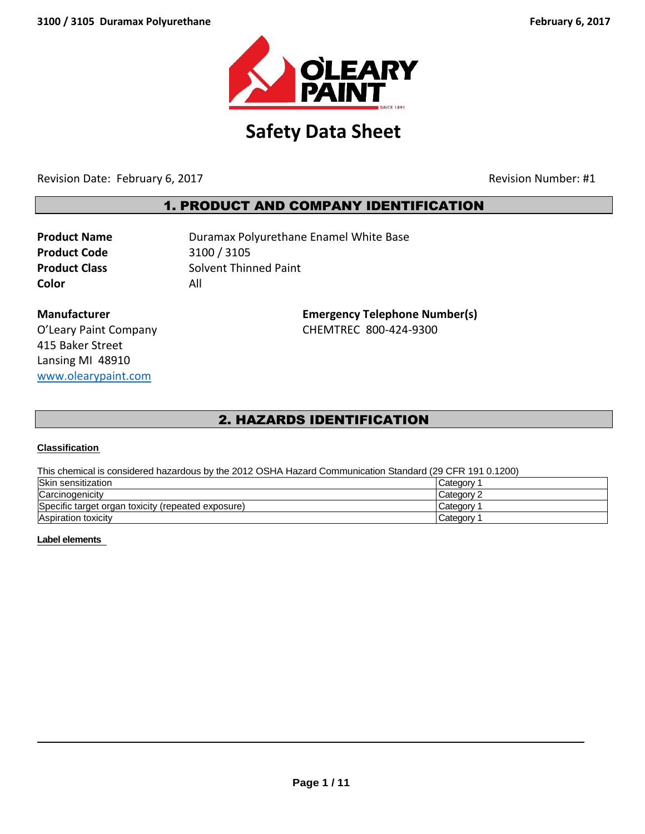

# **Safety Data Sheet**

Revision Date: February 6, 2017 and the state of the contract of the Revision Number: #1

# 1. PRODUCT AND COMPANY IDENTIFICATION

**Product Code** 3100 / 3105 **Color** All

**Product Name Duramax Polyurethane Enamel White Base Product Class** Solvent Thinned Paint

415 Baker Street Lansing MI 48910 [www.olearypaint.com](http://www.olearypaint.com/)

**Manufacturer Emergency Telephone Number(s)** O'Leary Paint Company CHEMTREC 800-424-9300

# 2. HAZARDS IDENTIFICATION

# **Classification**

This chemical is considered hazardous by the 2012 OSHA Hazard Communication Standard (29 CFR 191 0.1200)

| Skin sensitization                                 | Category 1 |
|----------------------------------------------------|------------|
| Carcinogenicity                                    | Category 2 |
| Specific target organ toxicity (repeated exposure) | Category ? |
| <b>Aspiration toxicity</b>                         | Category   |

# **Label elements**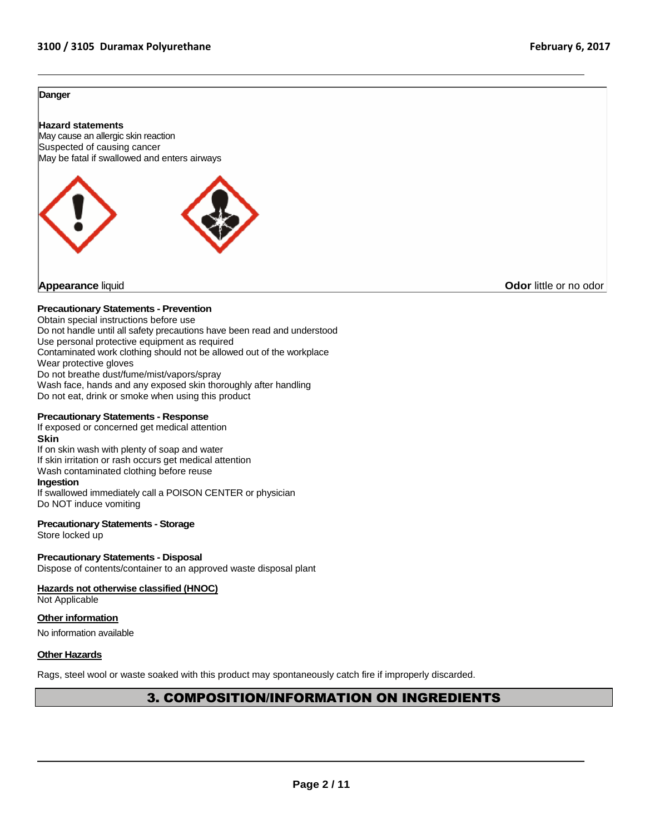#### **Danger**

#### **Hazard statements**





**Appearance liquid Odor in the original of the contract of the contract of the contract of the contract of the contract of the contract of the contract of the contract of the contract of the contract of the contract of t** 

#### **Precautionary Statements - Prevention**

Obtain special instructions before use Do not handle until all safety precautions have been read and understood Use personal protective equipment as required Contaminated work clothing should not be allowed out of the workplace Wear protective gloves Do not breathe dust/fume/mist/vapors/spray Wash face, hands and any exposed skin thoroughly after handling Do not eat, drink or smoke when using this product

#### **Precautionary Statements - Response**

If exposed or concerned get medical attention **Skin** If on skin wash with plenty of soap and water If skin irritation or rash occurs get medical attention Wash contaminated clothing before reuse **Ingestion** If swallowed immediately call a POISON CENTER or physician

# Do NOT induce vomiting

# **Precautionary Statements - Storage**

Store locked up

# **Precautionary Statements - Disposal**

Dispose of contents/container to an approved waste disposal plant

# **Hazards not otherwise classified (HNOC)**

Not Applicable

# **Other information**

No information available

#### **Other Hazards**

Rags, steel wool or waste soaked with this product may spontaneously catch fire if improperly discarded.

# 3. COMPOSITION/INFORMATION ON INGREDIENTS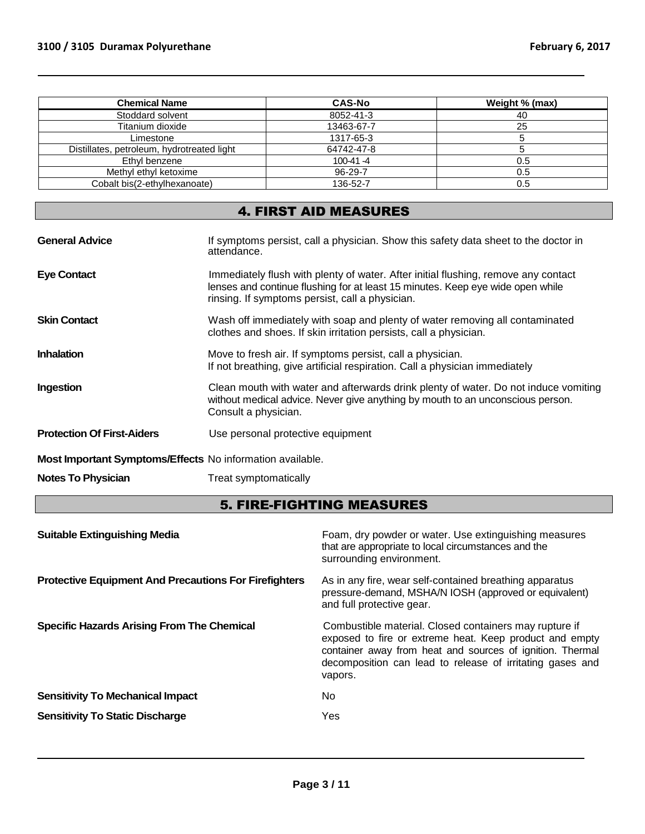| <b>Chemical Name</b>                       | <b>CAS-No</b> | Weight % (max) |
|--------------------------------------------|---------------|----------------|
| Stoddard solvent                           | 8052-41-3     | 40             |
| Titanium dioxide                           | 13463-67-7    | 25             |
| Limestone                                  | 1317-65-3     |                |
| Distillates, petroleum, hydrotreated light | 64742-47-8    |                |
| Ethyl benzene                              | $100-41 - 4$  | 0.5            |
| Methyl ethyl ketoxime                      | $96 - 29 - 7$ | 0.5            |
| Cobalt bis(2-ethylhexanoate)               | 136-52-7      | 0.5            |

# 4. FIRST AID MEASURES

| <b>General Advice</b>                                     | If symptoms persist, call a physician. Show this safety data sheet to the doctor in<br>attendance.                                                                                                                      |
|-----------------------------------------------------------|-------------------------------------------------------------------------------------------------------------------------------------------------------------------------------------------------------------------------|
| <b>Eye Contact</b>                                        | Immediately flush with plenty of water. After initial flushing, remove any contact<br>lenses and continue flushing for at least 15 minutes. Keep eye wide open while<br>rinsing. If symptoms persist, call a physician. |
| <b>Skin Contact</b>                                       | Wash off immediately with soap and plenty of water removing all contaminated<br>clothes and shoes. If skin irritation persists, call a physician.                                                                       |
| <b>Inhalation</b>                                         | Move to fresh air. If symptoms persist, call a physician.<br>If not breathing, give artificial respiration. Call a physician immediately                                                                                |
| Ingestion                                                 | Clean mouth with water and afterwards drink plenty of water. Do not induce vomiting<br>without medical advice. Never give anything by mouth to an unconscious person.<br>Consult a physician.                           |
| <b>Protection Of First-Aiders</b>                         | Use personal protective equipment                                                                                                                                                                                       |
| Most Important Symptoms/Effects No information available. |                                                                                                                                                                                                                         |
| <b>Notes To Physician</b>                                 | Treat symptomatically                                                                                                                                                                                                   |

# 5. FIRE-FIGHTING MEASURES

| <b>Suitable Extinguishing Media</b>                          | Foam, dry powder or water. Use extinguishing measures<br>that are appropriate to local circumstances and the<br>surrounding environment.                                                                                                               |
|--------------------------------------------------------------|--------------------------------------------------------------------------------------------------------------------------------------------------------------------------------------------------------------------------------------------------------|
| <b>Protective Equipment And Precautions For Firefighters</b> | As in any fire, wear self-contained breathing apparatus<br>pressure-demand, MSHA/N IOSH (approved or equivalent)<br>and full protective gear.                                                                                                          |
| <b>Specific Hazards Arising From The Chemical</b>            | Combustible material. Closed containers may rupture if<br>exposed to fire or extreme heat. Keep product and empty<br>container away from heat and sources of ignition. Thermal<br>decomposition can lead to release of irritating gases and<br>vapors. |
| <b>Sensitivity To Mechanical Impact</b>                      | No.                                                                                                                                                                                                                                                    |
| <b>Sensitivity To Static Discharge</b>                       | Yes                                                                                                                                                                                                                                                    |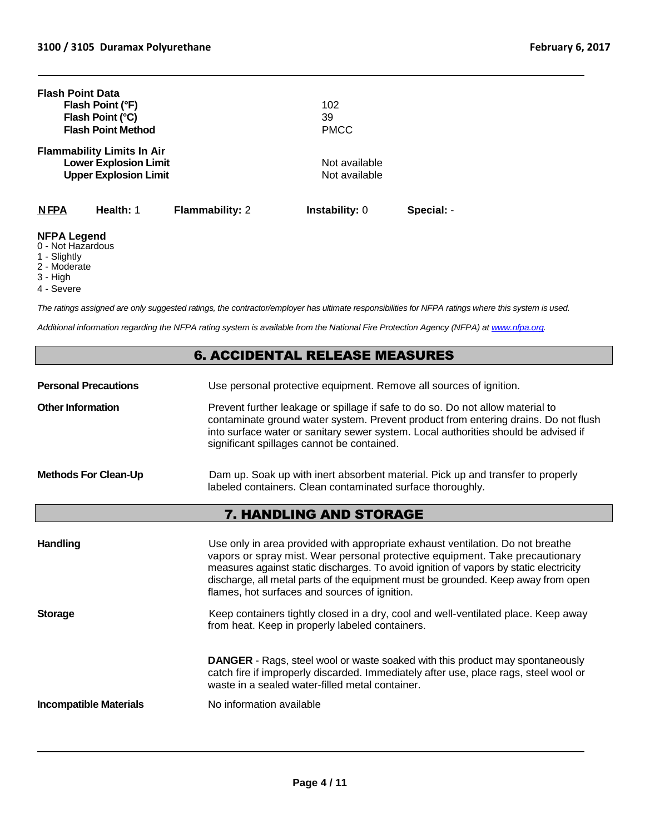| <b>Flash Point Data</b>                 | Flash Point (°F)<br>Flash Point (°C)<br><b>Flash Point Method</b>                                 |                        | 102<br>39<br><b>PMCC</b>       |            |
|-----------------------------------------|---------------------------------------------------------------------------------------------------|------------------------|--------------------------------|------------|
|                                         | <b>Flammability Limits In Air</b><br><b>Lower Explosion Limit</b><br><b>Upper Explosion Limit</b> |                        | Not available<br>Not available |            |
| <b>NFPA</b>                             | Health: 1                                                                                         | <b>Flammability: 2</b> | <b>Instability: 0</b>          | Special: - |
| <b>NFPA Legend</b><br>0 - Not Hazardous |                                                                                                   |                        |                                |            |

- 1 Slightly
- 2 Moderate
- 3 High
- 4 Severe

*The ratings assigned are only suggested ratings, the contractor/employer has ultimate responsibilities for NFPA ratings where this system is used.* 

*Additional information regarding the NFPA rating system is available from the National Fire Protection Agency (NFPA) a[t www.nfpa.org.](http://www.nfpa.org/)*

# 6. ACCIDENTAL RELEASE MEASURES

**Personal Precautions** Use personal protective equipment. Remove all sources of ignition.

**Other Information Prevent further leakage or spillage if safe to do so. Do not allow material to** contaminate ground water system. Prevent product from entering drains. Do not flush into surface water or sanitary sewer system. Local authorities should be advised if significant spillages cannot be contained.

# **Methods For Clean-Up** Dam up. Soak up with inert absorbent material. Pick up and transfer to properly labeled containers. Clean contaminated surface thoroughly.

# 7. HANDLING AND STORAGE

| <b>Handling</b>               | Use only in area provided with appropriate exhaust ventilation. Do not breathe<br>vapors or spray mist. Wear personal protective equipment. Take precautionary<br>measures against static discharges. To avoid ignition of vapors by static electricity<br>discharge, all metal parts of the equipment must be grounded. Keep away from open<br>flames, hot surfaces and sources of ignition. |
|-------------------------------|-----------------------------------------------------------------------------------------------------------------------------------------------------------------------------------------------------------------------------------------------------------------------------------------------------------------------------------------------------------------------------------------------|
| <b>Storage</b>                | Keep containers tightly closed in a dry, cool and well-ventilated place. Keep away<br>from heat. Keep in properly labeled containers.                                                                                                                                                                                                                                                         |
|                               | <b>DANGER</b> - Rags, steel wool or waste soaked with this product may spontaneously<br>catch fire if improperly discarded. Immediately after use, place rags, steel wool or<br>waste in a sealed water-filled metal container.                                                                                                                                                               |
| <b>Incompatible Materials</b> | No information available                                                                                                                                                                                                                                                                                                                                                                      |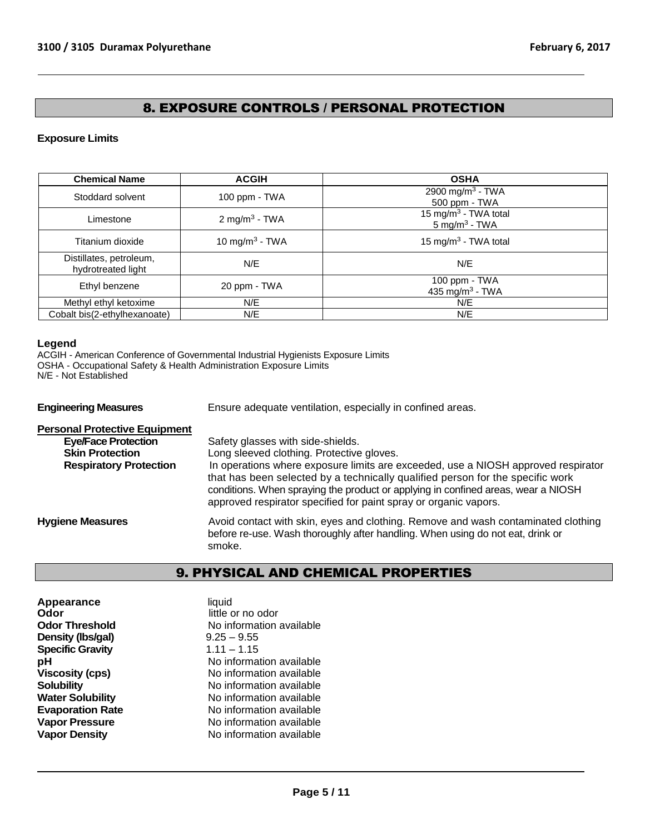# 8. EXPOSURE CONTROLS / PERSONAL PROTECTION

# **Exposure Limits**

| <b>Chemical Name</b>                          | <b>ACGIH</b>               | <b>OSHA</b>                                                  |
|-----------------------------------------------|----------------------------|--------------------------------------------------------------|
| Stoddard solvent                              | 100 ppm - TWA              | 2900 mg/m <sup>3</sup> - TWA<br>500 ppm - TWA                |
| Limestone                                     | 2 mg/m <sup>3</sup> - TWA  | 15 mg/m <sup>3</sup> - TWA total<br>$5 \text{ mg/m}^3$ - TWA |
| Titanium dioxide                              | 10 mg/m <sup>3</sup> - TWA | 15 mg/m <sup>3</sup> - TWA total                             |
| Distillates, petroleum,<br>hydrotreated light | N/E                        | N/E                                                          |
| Ethyl benzene                                 | 20 ppm - TWA               | 100 ppm - TWA<br>435 mg/m <sup>3</sup> - TWA                 |
| Methyl ethyl ketoxime                         | N/E                        | N/E                                                          |
| Cobalt bis(2-ethylhexanoate)                  | N/E                        | N/E                                                          |

# **Legend**

ACGIH - American Conference of Governmental Industrial Hygienists Exposure Limits OSHA - Occupational Safety & Health Administration Exposure Limits N/E - Not Established

**Engineering Measures** Ensure adequate ventilation, especially in confined areas.

| <b>Personal Protective Equipment</b> |                                                                                                                                                                                                                                                                                                                              |
|--------------------------------------|------------------------------------------------------------------------------------------------------------------------------------------------------------------------------------------------------------------------------------------------------------------------------------------------------------------------------|
| <b>Eye/Face Protection</b>           | Safety glasses with side-shields.                                                                                                                                                                                                                                                                                            |
| <b>Skin Protection</b>               | Long sleeved clothing. Protective gloves.                                                                                                                                                                                                                                                                                    |
| <b>Respiratory Protection</b>        | In operations where exposure limits are exceeded, use a NIOSH approved respirator<br>that has been selected by a technically qualified person for the specific work<br>conditions. When spraying the product or applying in confined areas, wear a NIOSH<br>approved respirator specified for paint spray or organic vapors. |
| <b>Hygiene Measures</b>              | Avoid contact with skin, eyes and clothing. Remove and wash contaminated clothing<br>before re-use. Wash thoroughly after handling. When using do not eat, drink or<br>smoke.                                                                                                                                                |

# 9. PHYSICAL AND CHEMICAL PROPERTIES

| Appearance<br>Odor      | liquid<br>little or no odor |
|-------------------------|-----------------------------|
| <b>Odor Threshold</b>   | No information available    |
| Density (Ibs/gal)       | $9.25 - 9.55$               |
| <b>Specific Gravity</b> | $1.11 - 1.15$               |
| рH                      | No information available    |
| <b>Viscosity (cps)</b>  | No information available    |
| <b>Solubility</b>       | No information available    |
| <b>Water Solubility</b> | No information available    |
| <b>Evaporation Rate</b> | No information available    |
| <b>Vapor Pressure</b>   | No information available    |
| <b>Vapor Density</b>    | No information available    |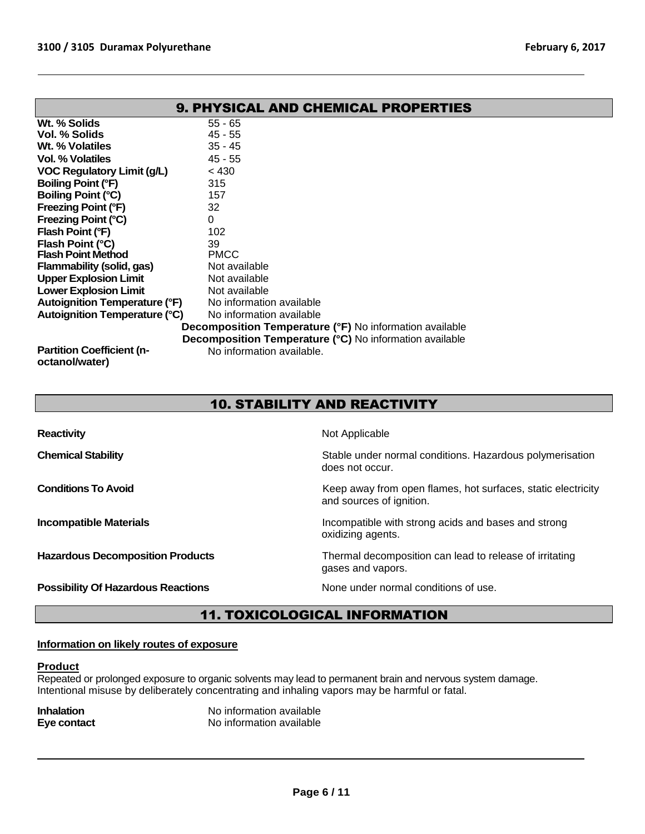| <b>9. PHYSICAL AND CHEMICAL PROPERTIES</b>                     |                           |  |
|----------------------------------------------------------------|---------------------------|--|
| Wt. % Solids                                                   | $55 - 65$                 |  |
| Vol. % Solids                                                  | 45 - 55                   |  |
| Wt. % Volatiles                                                | $35 - 45$                 |  |
| Vol. % Volatiles                                               | $45 - 55$                 |  |
| <b>VOC Regulatory Limit (g/L)</b>                              | < 430                     |  |
| Boiling Point (°F)                                             | 315                       |  |
| <b>Boiling Point (°C)</b>                                      | 157                       |  |
| <b>Freezing Point (°F)</b>                                     | 32                        |  |
| Freezing Point (°C)                                            | $\Omega$                  |  |
| Flash Point (°F)                                               | 102                       |  |
| Flash Point (°C)                                               | 39                        |  |
| <b>Flash Point Method</b>                                      | <b>PMCC</b>               |  |
| Flammability (solid, gas)                                      | Not available             |  |
| <b>Upper Explosion Limit</b>                                   | Not available             |  |
| <b>Lower Explosion Limit</b>                                   | Not available             |  |
| <b>Autoignition Temperature (°F)</b>                           | No information available  |  |
| <b>Autoignition Temperature (°C)</b>                           | No information available  |  |
| <b>Decomposition Temperature (°F)</b> No information available |                           |  |
| <b>Decomposition Temperature (°C)</b> No information available |                           |  |
| <b>Partition Coefficient (n-</b><br>octanol/water)             | No information available. |  |

# 10. STABILITY AND REACTIVITY

| <b>Reactivity</b>                         | Not Applicable                                                                           |
|-------------------------------------------|------------------------------------------------------------------------------------------|
| <b>Chemical Stability</b>                 | Stable under normal conditions. Hazardous polymerisation<br>does not occur.              |
| <b>Conditions To Avoid</b>                | Keep away from open flames, hot surfaces, static electricity<br>and sources of ignition. |
| <b>Incompatible Materials</b>             | Incompatible with strong acids and bases and strong<br>oxidizing agents.                 |
| <b>Hazardous Decomposition Products</b>   | Thermal decomposition can lead to release of irritating<br>gases and vapors.             |
| <b>Possibility Of Hazardous Reactions</b> | None under normal conditions of use.                                                     |

# 11. TOXICOLOGICAL INFORMATION

# **Information on likely routes of exposure**

#### **Product**

Repeated or prolonged exposure to organic solvents may lead to permanent brain and nervous system damage. Intentional misuse by deliberately concentrating and inhaling vapors may be harmful or fatal.

| <b>Inhalation</b> | No information available |
|-------------------|--------------------------|
| Eye contact       | No information available |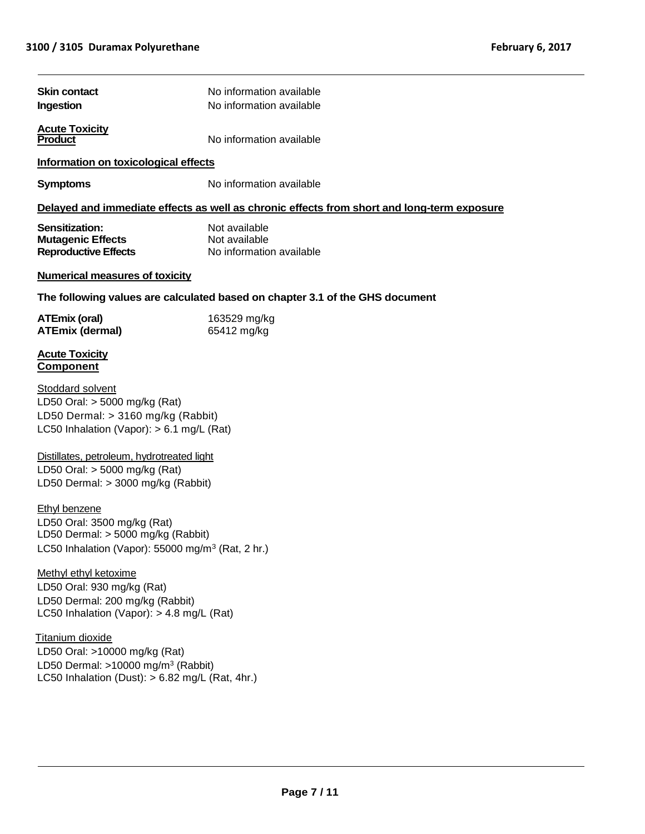$\overline{a}$ 

| <b>Skin contact</b>                                                                                                                                        | No information available                                                                   |  |  |
|------------------------------------------------------------------------------------------------------------------------------------------------------------|--------------------------------------------------------------------------------------------|--|--|
| No information available<br>Ingestion                                                                                                                      |                                                                                            |  |  |
| <b>Acute Toxicity</b><br><b>Product</b>                                                                                                                    | No information available                                                                   |  |  |
| Information on toxicological effects                                                                                                                       |                                                                                            |  |  |
| <b>Symptoms</b>                                                                                                                                            | No information available                                                                   |  |  |
|                                                                                                                                                            | Delayed and immediate effects as well as chronic effects from short and long-term exposure |  |  |
| Sensitization:<br><b>Mutagenic Effects</b><br><b>Reproductive Effects</b>                                                                                  | Not available<br>Not available<br>No information available                                 |  |  |
| <b>Numerical measures of toxicity</b>                                                                                                                      |                                                                                            |  |  |
|                                                                                                                                                            | The following values are calculated based on chapter 3.1 of the GHS document               |  |  |
| <b>ATEmix (oral)</b><br><b>ATEmix (dermal)</b>                                                                                                             | 163529 mg/kg<br>65412 mg/kg                                                                |  |  |
| <b>Acute Toxicity</b><br><b>Component</b>                                                                                                                  |                                                                                            |  |  |
| Stoddard solvent<br>LD50 Oral: $>$ 5000 mg/kg (Rat)<br>LD50 Dermal: > 3160 mg/kg (Rabbit)<br>LC50 Inhalation (Vapor): $> 6.1$ mg/L (Rat)                   |                                                                                            |  |  |
| Distillates, petroleum, hydrotreated light<br>LD50 Oral: $>$ 5000 mg/kg (Rat)<br>LD50 Dermal: > 3000 mg/kg (Rabbit)                                        |                                                                                            |  |  |
| <b>Ethyl benzene</b><br>LD50 Oral: 3500 mg/kg (Rat)<br>LD50 Dermal: > 5000 mg/kg (Rabbit)<br>LC50 Inhalation (Vapor): 55000 mg/m <sup>3</sup> (Rat, 2 hr.) |                                                                                            |  |  |
| Methyl ethyl ketoxime<br>LD50 Oral: 930 mg/kg (Rat)<br>LD50 Dermal: 200 mg/kg (Rabbit)<br>LC50 Inhalation (Vapor): $> 4.8$ mg/L (Rat)                      |                                                                                            |  |  |
| Titanium dioxide<br>LD50 Oral: >10000 mg/kg (Rat)<br>LD50 Dermal: $>10000$ mg/m <sup>3</sup> (Rabbit)<br>LC50 Inhalation (Dust): > 6.82 mg/L (Rat, 4hr.)   |                                                                                            |  |  |
|                                                                                                                                                            |                                                                                            |  |  |
|                                                                                                                                                            | <b>Page 7/11</b>                                                                           |  |  |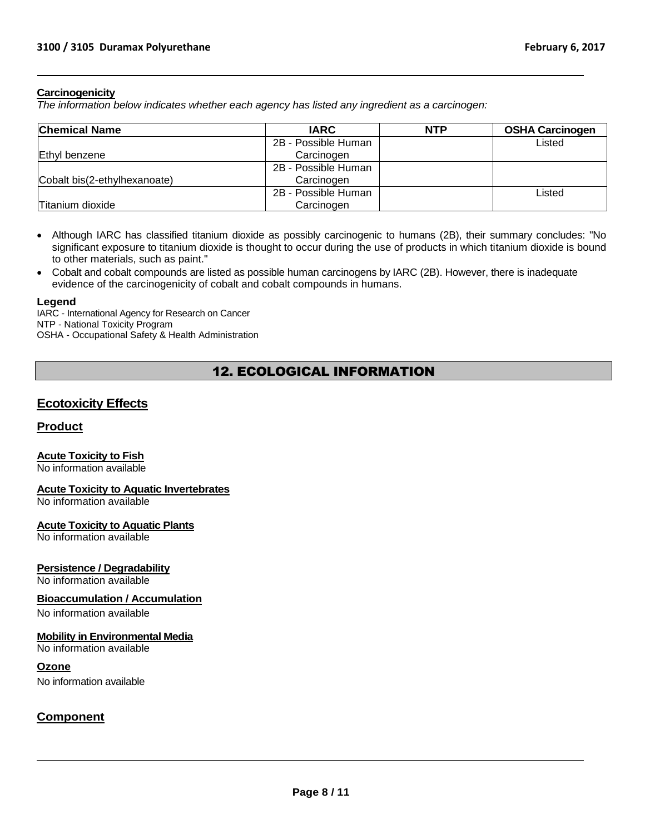# **Carcinogenicity**

*The information below indicates whether each agency has listed any ingredient as a carcinogen:*

| <b>Chemical Name</b>         | <b>IARC</b>         | <b>NTP</b> | <b>OSHA Carcinogen</b> |
|------------------------------|---------------------|------------|------------------------|
|                              | 2B - Possible Human |            | Listed                 |
| Ethyl benzene                | Carcinogen          |            |                        |
|                              | 2B - Possible Human |            |                        |
| Cobalt bis(2-ethylhexanoate) | Carcinogen          |            |                        |
|                              | 2B - Possible Human |            | Listed                 |
| Titanium dioxide             | Carcinogen          |            |                        |

- Although IARC has classified titanium dioxide as possibly carcinogenic to humans (2B), their summary concludes: "No significant exposure to titanium dioxide is thought to occur during the use of products in which titanium dioxide is bound to other materials, such as paint."
- Cobalt and cobalt compounds are listed as possible human carcinogens by IARC (2B). However, there is inadequate evidence of the carcinogenicity of cobalt and cobalt compounds in humans.

#### **Legend**

IARC - International Agency for Research on Cancer NTP - National Toxicity Program OSHA - Occupational Safety & Health Administration

# 12. ECOLOGICAL INFORMATION

# **Ecotoxicity Effects**

# **Product**

# **Acute Toxicity to Fish**

No information available

# **Acute Toxicity to Aquatic Invertebrates**

No information available

# **Acute Toxicity to Aquatic Plants**

No information available

# **Persistence / Degradability**

No information available

# **Bioaccumulation / Accumulation**

No information available

# **Mobility in Environmental Media**

No information available

# **Ozone**

No information available

# **Component**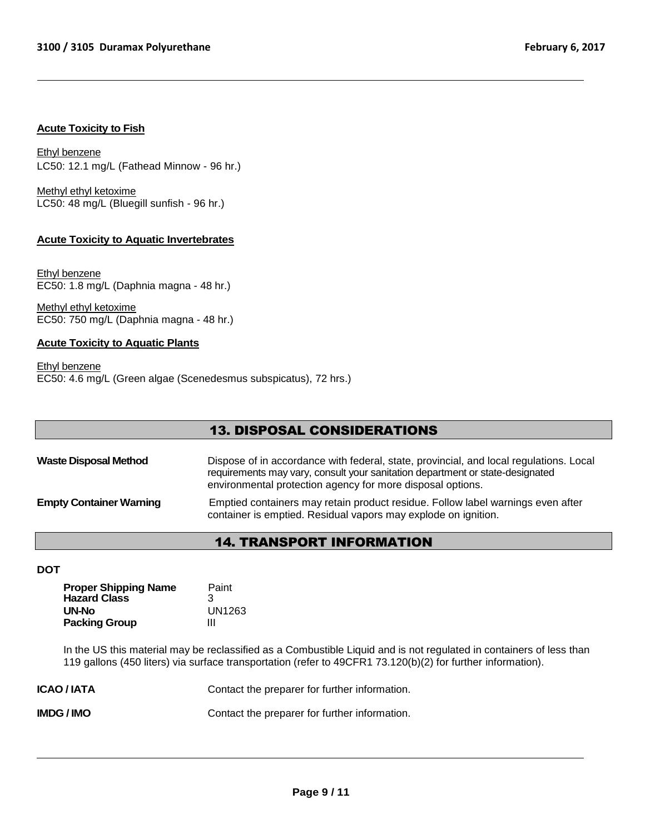# **Acute Toxicity to Fish**

Ethyl benzene LC50: 12.1 mg/L (Fathead Minnow - 96 hr.)

Methyl ethyl ketoxime LC50: 48 mg/L (Bluegill sunfish - 96 hr.)

# **Acute Toxicity to Aquatic Invertebrates**

Ethyl benzene EC50: 1.8 mg/L (Daphnia magna - 48 hr.)

Methyl ethyl ketoxime EC50: 750 mg/L (Daphnia magna - 48 hr.)

# **Acute Toxicity to Aquatic Plants**

Ethyl benzene EC50: 4.6 mg/L (Green algae (Scenedesmus subspicatus), 72 hrs.)

# 13. DISPOSAL CONSIDERATIONS

| <b>Waste Disposal Method</b>   | Dispose of in accordance with federal, state, provincial, and local regulations. Local<br>requirements may vary, consult your sanitation department or state-designated<br>environmental protection agency for more disposal options. |
|--------------------------------|---------------------------------------------------------------------------------------------------------------------------------------------------------------------------------------------------------------------------------------|
| <b>Empty Container Warning</b> | Emptied containers may retain product residue. Follow label warnings even after<br>container is emptied. Residual vapors may explode on ignition.                                                                                     |

# 14. TRANSPORT INFORMATION

#### **DOT**

| <b>Proper Shipping Name</b> | Paint  |
|-----------------------------|--------|
| <b>Hazard Class</b>         | З      |
| UN-No                       | UN1263 |
| <b>Packing Group</b>        | Ш      |

In the US this material may be reclassified as a Combustible Liquid and is not regulated in containers of less than 119 gallons (450 liters) via surface transportation (refer to 49CFR1 73.120(b)(2) for further information).

| <b>ICAO/IATA</b> | Contact the preparer for further information. |
|------------------|-----------------------------------------------|
| IMDG / IMO       | Contact the preparer for further information. |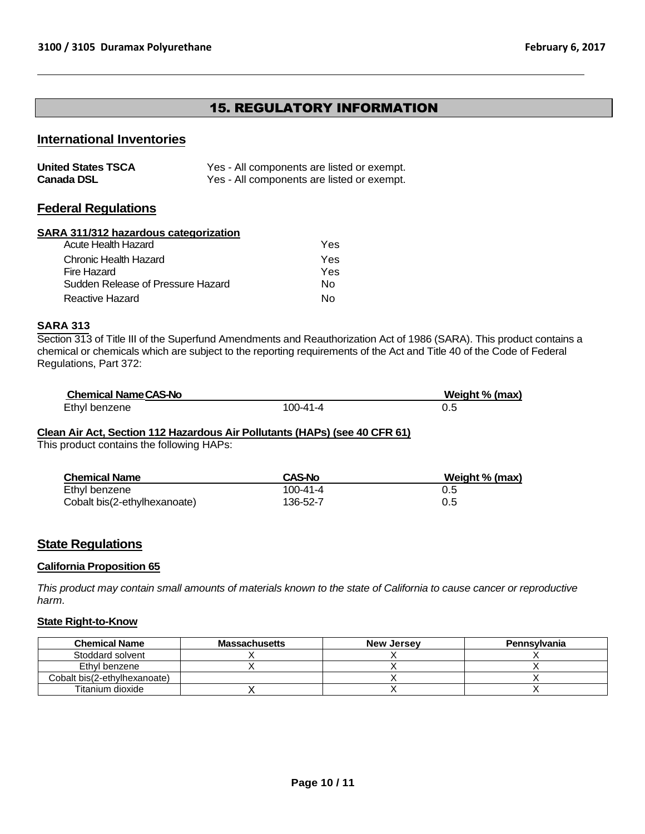# 15. REGULATORY INFORMATION

# **International Inventories**

| <b>United States TSCA</b> | Yes - All components are listed or exempt. |
|---------------------------|--------------------------------------------|
| <b>Canada DSL</b>         | Yes - All components are listed or exempt. |

# **Federal Regulations**

#### **SARA 311/312 hazardous categorization**

| Acute Health Hazard               | Yes. |
|-----------------------------------|------|
| Chronic Health Hazard             | Yes. |
| Fire Hazard                       | Yes. |
| Sudden Release of Pressure Hazard | N٥   |
| Reactive Hazard                   | N٥   |

# **SARA 313**

Section 313 of Title III of the Superfund Amendments and Reauthorization Act of 1986 (SARA). This product contains a chemical or chemicals which are subject to the reporting requirements of the Act and Title 40 of the Code of Federal Regulations, Part 372:

| <b>Chemical Name CAS-No</b> |                | Weight % (max) |
|-----------------------------|----------------|----------------|
| Ethyl benzene               | $100 - 41 - 4$ |                |

# **Clean Air Act, Section 112 Hazardous Air Pollutants (HAPs) (see 40 CFR 61)**

This product contains the following HAPs:

| <b>Chemical Name</b>         | <b>CAS-No</b> | Weight % (max) |
|------------------------------|---------------|----------------|
| Ethyl benzene                | 100-41-4      | 0.5            |
| Cobalt bis(2-ethylhexanoate) | 136-52-7      | 0.5            |

# **State Regulations**

# **California Proposition 65**

*This product may contain small amounts of materials known to the state of California to cause cancer or reproductive harm.*

# **State Right-to-Know**

| <b>Chemical Name</b>         | <b>Massachusetts</b> | <b>New Jersey</b> | <b>Pennsylvania</b> |
|------------------------------|----------------------|-------------------|---------------------|
| Stoddard solvent             |                      |                   |                     |
| Ethvl benzene                |                      |                   |                     |
| Cobalt bis(2-ethylhexanoate) |                      |                   |                     |
| Titanium dioxide             |                      |                   |                     |